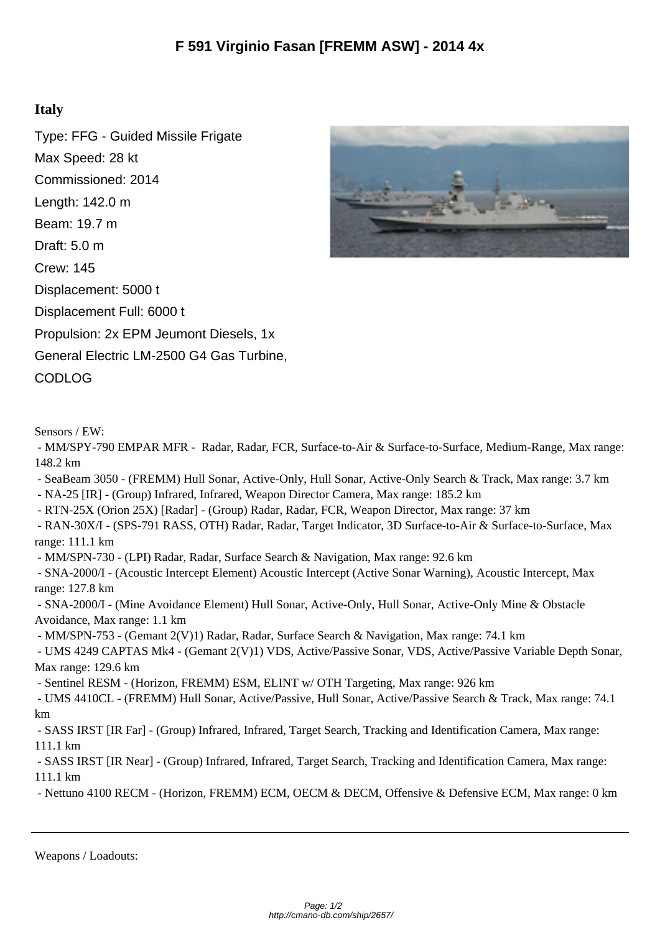## **Italy**

Type: FFG - Guided Missile Frigate Max Speed: 28 kt Commissioned: 2014 Length: 142.0 m Beam: 19.7 m Draft: 5.0 m Crew: 145 Displacement: 5000 t Displacement Full: 6000 t Propulsion: 2x EPM Jeumont Diesels, 1x General Electric LM-2500 G4 Gas Turbine, CODLOG



Sensors / EW:

 - MM/SPY-790 EMPAR MFR - Radar, Radar, FCR, Surface-to-Air & Surface-to-Surface, Medium-Range, Max range: 148.2 km

- SeaBeam 3050 - (FREMM) Hull Sonar, Active-Only, Hull Sonar, Active-Only Search & Track, Max range: 3.7 km

- NA-25 [IR] - (Group) Infrared, Infrared, Weapon Director Camera, Max range: 185.2 km

- RTN-25X (Orion 25X) [Radar] - (Group) Radar, Radar, FCR, Weapon Director, Max range: 37 km

 - RAN-30X/I - (SPS-791 RASS, OTH) Radar, Radar, Target Indicator, 3D Surface-to-Air & Surface-to-Surface, Max range: 111.1 km

- MM/SPN-730 - (LPI) Radar, Radar, Surface Search & Navigation, Max range: 92.6 km

 - SNA-2000/I - (Acoustic Intercept Element) Acoustic Intercept (Active Sonar Warning), Acoustic Intercept, Max range: 127.8 km

 - SNA-2000/I - (Mine Avoidance Element) Hull Sonar, Active-Only, Hull Sonar, Active-Only Mine & Obstacle Avoidance, Max range: 1.1 km

- MM/SPN-753 - (Gemant 2(V)1) Radar, Radar, Surface Search & Navigation, Max range: 74.1 km

 - UMS 4249 CAPTAS Mk4 - (Gemant 2(V)1) VDS, Active/Passive Sonar, VDS, Active/Passive Variable Depth Sonar, Max range: 129.6 km

- Sentinel RESM - (Horizon, FREMM) ESM, ELINT w/ OTH Targeting, Max range: 926 km

 - UMS 4410CL - (FREMM) Hull Sonar, Active/Passive, Hull Sonar, Active/Passive Search & Track, Max range: 74.1 km

 - SASS IRST [IR Far] - (Group) Infrared, Infrared, Target Search, Tracking and Identification Camera, Max range: 111.1 km

 - SASS IRST [IR Near] - (Group) Infrared, Infrared, Target Search, Tracking and Identification Camera, Max range: 111.1 km

- Nettuno 4100 RECM - (Horizon, FREMM) ECM, OECM & DECM, Offensive & Defensive ECM, Max range: 0 km

Weapons / Loadouts: